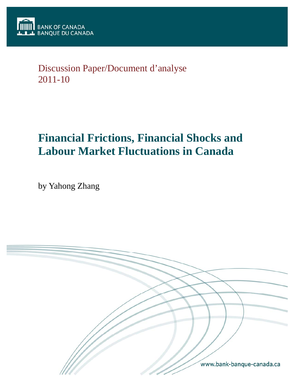

# Discussion Paper/Document d'analyse 2011-10

# **Financial Frictions, Financial Shocks and Labour Market Fluctuations in Canada**

by Yahong Zhang

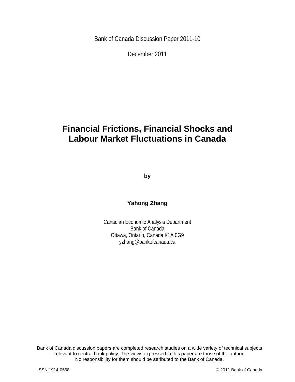Bank of Canada Discussion Paper 2011-10

December 2011

# **Financial Frictions, Financial Shocks and Labour Market Fluctuations in Canada**

**by** 

## **Yahong Zhang**

Canadian Economic Analysis Department Bank of Canada Ottawa, Ontario, Canada K1A 0G9 yzhang@bankofcanada.ca

2 No responsibility for them should be attributed to the Bank of Canada. Bank of Canada discussion papers are completed research studies on a wide variety of technical subjects relevant to central bank policy. The views expressed in this paper are those of the author.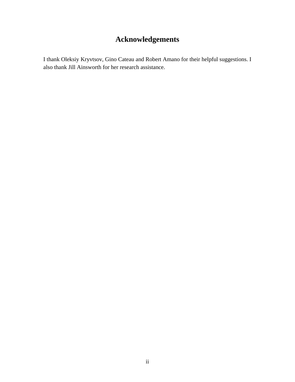# **Acknowledgements**

I thank Oleksiy Kryvtsov, Gino Cateau and Robert Amano for their helpful suggestions. I also thank Jill Ainsworth for her research assistance.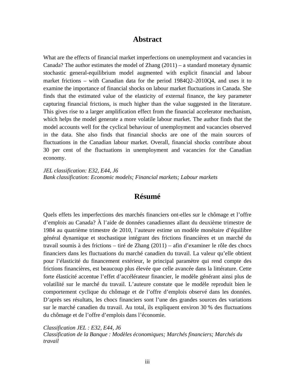## **Abstract**

What are the effects of financial market imperfections on unemployment and vacancies in Canada? The author estimates the model of Zhang  $(2011)$  – a standard monetary dynamic stochastic general-equilibrium model augmented with explicit financial and labour market frictions – with Canadian data for the period 1984Q2–2010Q4, and uses it to examine the importance of financial shocks on labour market fluctuations in Canada. She finds that the estimated value of the elasticity of external finance, the key parameter capturing financial frictions, is much higher than the value suggested in the literature. This gives rise to a larger amplification effect from the financial accelerator mechanism, which helps the model generate a more volatile labour market. The author finds that the model accounts well for the cyclical behaviour of unemployment and vacancies observed in the data. She also finds that financial shocks are one of the main sources of fluctuations in the Canadian labour market. Overall, financial shocks contribute about 30 per cent of the fluctuations in unemployment and vacancies for the Canadian economy.

*JEL classification: E32, E44, J6 Bank classification: Economic models; Financial markets; Labour markets* 

## **Résumé**

Quels effets les imperfections des marchés financiers ont-elles sur le chômage et l'offre d'emplois au Canada? À l'aide de données canadiennes allant du deuxième trimestre de 1984 au quatrième trimestre de 2010, l'auteure estime un modèle monétaire d'équilibre général dynamique et stochastique intégrant des frictions financières et un marché du travail soumis à des frictions – tiré de Zhang (2011) – afin d'examiner le rôle des chocs financiers dans les fluctuations du marché canadien du travail. La valeur qu'elle obtient pour l'élasticité du financement extérieur, le principal paramètre qui rend compte des frictions financières, est beaucoup plus élevée que celle avancée dans la littérature. Cette forte élasticité accentue l'effet d'accélérateur financier, le modèle générant ainsi plus de volatilité sur le marché du travail. L'auteure constate que le modèle reproduit bien le comportement cyclique du chômage et de l'offre d'emplois observé dans les données. D'après ses résultats, les chocs financiers sont l'une des grandes sources des variations sur le marché canadien du travail. Au total, ils expliquent environ 30 % des fluctuations du chômage et de l'offre d'emplois dans l'économie.

*Classification JEL : E32, E44, J6 Classification de la Banque : Modèles économiques; Marchés financiers; Marchés du travail*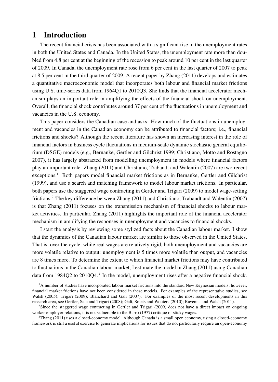## 1 Introduction

The recent financial crisis has been associated with a significant rise in the unemployment rates in both the United States and Canada. In the United States, the unemployment rate more than doubled from 4.8 per cent at the beginning of the recession to peak around 10 per cent in the last quarter of 2009. In Canada, the unemployment rate rose from 6 per cent in the last quarter of 2007 to peak at 8.5 per cent in the third quarter of 2009. A recent paper by Zhang (2011) develops and estimates a quantitative macroeconomic model that incorporates both labour and financial market frictions using U.S. time-series data from 1964Q1 to 2010Q3. She finds that the financial accelerator mechanism plays an important role in amplifying the effects of the financial shock on unemployment. Overall, the financial shock contributes around 37 per cent of the fluctuations in unemployment and vacancies in the U.S. economy.

This paper considers the Canadian case and asks: How much of the fluctuations in unemployment and vacancies in the Canadian economy can be attributed to financial factors; i.e., financial frictions and shocks? Although the recent literature has shown an increasing interest in the role of financial factors in business cycle fluctuations in medium-scale dynamic stochastic general equilibrium (DSGE) models (e.g., Bernanke, Gertler and Gilchrist 1999; Christiano, Motto and Rostagno 2007), it has largely abstracted from modelling unemployment in models where financial factors play an important role. Zhang (2011) and Christiano, Trabandt and Walentin (2007) are two recent exceptions.<sup>1</sup> Both papers model financial market frictions as in Bernanke, Gertler and Gilchrist (1999), and use a search and matching framework to model labour market frictions. In particular, both papers use the staggered wage contracting in Gertler and Trigari (2009) to model wage-setting frictions.<sup>2</sup> The key difference between Zhang (2011) and Christiano, Trabandt and Walentin (2007) is that Zhang (2011) focuses on the transmission mechanism of financial shocks to labour market activities. In particular, Zhang (2011) highlights the important role of the financial accelerator mechanism in amplifying the responses in unemployment and vacancies to financial shocks.

I start the analysis by reviewing some stylized facts about the Canadian labour market. I show that the dynamics of the Canadian labour market are similar to those observed in the United States. That is, over the cycle, while real wages are relatively rigid, both unemployment and vacancies are more volatile relative to output: unemployment is 5 times more volatile than output, and vacancies are 8 times more. To determine the extent to which financial market frictions may have contributed to fluctuations in the Canadian labour market, I estimate the model in Zhang (2011) using Canadian data from 1984Q2 to 2010Q4. $3$  In the model, unemployment rises after a negative financial shock.

 $<sup>1</sup>A$  number of studies have incorporated labour market frictions into the standard New Keynesian models; however,</sup> financial market frictions have not been considered in these models. For examples of the representative studies, see Walsh (2005); Trigari (2009); Blanchard and Galí (2007). For examples of the most recent developments in this research area, see Gertler, Sala and Trigari (2008); Galí, Smets and Wouters (2010); Ravenna and Walsh (2011).

<sup>&</sup>lt;sup>2</sup>Since the staggered wage contracting in Gertler and Trigari (2009) does not have a direct impact on ongoing worker-employer relations, it is not vulnerable to the Barro (1977) critique of sticky wages.

 $3$ Zhang (2011) uses a closed-economy model. Although Canada is a small open economy, using a closed-economy framework is still a useful exercise to generate implications for issues that do not particularly require an open-economy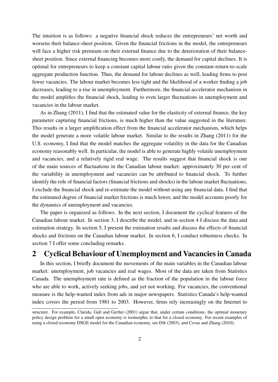The intuition is as follows: a negative financial shock reduces the entrepreneurs' net worth and worsens their balance-sheet position. Given the financial frictions in the model, the entrepreneurs will face a higher risk premium on their external finance due to the deterioration of their balancesheet position. Since external financing becomes more costly, the demand for capital declines. It is optimal for entrepreneurs to keep a constant capital labour ratio given the constant-return-to-scale aggregate production function. Thus, the demand for labour declines as well, leading firms to post fewer vacancies. The labour market becomes less tight and the likelihood of a worker finding a job decreases, leading to a rise in unemployment. Furthermore, the financial accelerator mechanism in the model amplifies the financial shock, leading to even larger fluctuations in unemployment and vacancies in the labour market.

As in Zhang (2011), I find that the estimated value for the elasticity of external finance, the key parameter capturing financial frictions, is much higher than the value suggested in the literature. This results in a larger amplification effect from the financial accelerator mechanism, which helps the model generate a more volatile labour market. Similar to the results in Zhang (2011) for the U.S. economy, I find that the model matches the aggregate volatility in the data for the Canadian economy reasonably well. In particular, the model is able to generate highly volatile unemployment and vacancies, and a relatively rigid real wage. The results suggest that financial shock is one of the main sources of fluctuations in the Canadian labour market: approximately 30 per cent of the variability in unemployment and vacancies can be attributed to financial shock. To further identify the role of financial factors (financial frictions and shocks) in the labour market fluctuations, I exclude the financial shock and re-estimate the model without using any financial data. I find that the estimated degree of financial market frictions is much lower, and the model accounts poorly for the dynamics of unemployment and vacancies.

The paper is organized as follows. In the next section, I document the cyclical features of the Canadian labour market. In section 3, I describe the model, and in section 4 I discuss the data and estimation strategy. In section 5, I present the estimation results and discuss the effects of financial shocks and frictions on the Canadian labour market. In section 6, I conduct robustness checks. In section 7 I offer some concluding remarks.

# 2 Cyclical Behaviour of Unemployment and Vacancies in Canada

In this section, I briefly document the movements of the main variables in the Canadian labour market: unemployment, job vacancies and real wages. Most of the data are taken from Statistics Canada. The unemployment rate is defined as the fraction of the population in the labour force who are able to work, actively seeking jobs, and yet not working. For vacancies, the conventional measure is the help-wanted index from ads in major newspapers. Statistics Canada's help-wanted index covers the period from 1981 to 2003. However, firms rely increasingly on the Internet to

structure. For example, Clarida, Galí and Gertler (2001) argue that, under certain conditions, the optimal monetary policy design problem for a small open economy is isomorphic to that for a closed economy. For recent examples of using a closed-economy DSGE model for the Canadian economy, see Dib (2003), and Covas and Zhang (2010).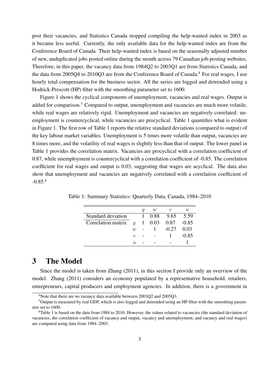post their vacancies, and Statistics Canada stopped compiling the help-wanted index in 2003 as it became less useful. Currently, the only available data for the help-wanted index are from the Conference Board of Canada. Their help-wanted index is based on the seasonally adjusted number of new, unduplicated jobs posted online during the month across 79 Canadian job-posting websites. Therefore, in this paper, the vacancy data from 1984Q2 to 2003Q1 are from Statistics Canada, and the data from 2005Q4 to 2010Q3 are from the Conference Board of Canada.<sup>4</sup> For real wages, I use hourly total compensation for the business sector. All the series are logged and detrended using a Hodrick-Prescott (HP) filter with the smoothing parameter set to 1600.

Figure 1 shows the cyclical components of unemployment, vacancies and real wages. Output is added for comparison.<sup>5</sup> Compared to output, unemployment and vacancies are much more volatile, while real wages are relatively rigid. Unemployment and vacancies are negatively correlated: unemployment is countercyclical, while vacancies are procyclical. Table 1 quantifies what is evident in Figure 1. The first row of Table 1 reports the relative standard deviations (compared to output) of the key labour market variables. Unemployment is 5 times more volatile than output, vacancies are 8 times more, and the volatility of real wages is slightly less than that of output. The lower panel in Table 1 provides the correlation matrix. Vacancies are procyclical with a correlation coefficient of 0.87, while unemployment is countercyclical with a correlation coefficient of -0.85. The correlation coefficient for real wages and output is 0.03, suggesting that wages are acyclical. The data also show that unemployment and vacancies are negatively correlated with a correlation coefficient of  $-0.85^{6}$ 

|                    |                  | U | w    | V       | U       |
|--------------------|------------------|---|------|---------|---------|
| Standard deviation |                  |   | 0.88 | 9.65    | 5.59    |
| Correlation matrix | $\boldsymbol{u}$ |   | 0.03 | 0.87    | $-0.85$ |
|                    | $\eta$           |   |      | $-0.27$ | 0.03    |
|                    | $\eta$           |   |      |         | $-0.85$ |
|                    | II.              |   |      |         |         |

Table 1: Summary Statistics: Quarterly Data, Canada, 1984–2010

## 3 The Model

Since the model is taken from Zhang (2011), in this section I provide only an overview of the model. Zhang (2011) considers an economy populated by a representative household, retailers, entrepreneurs, capital producers and employment agencies. In addition, there is a government in

<sup>&</sup>lt;sup>4</sup>Note that there are no vacancy data available between 2003Q2 and 2005Q3.

<sup>5</sup>Output is measured by real GDP, which is also logged and detrended using an HP filter with the smoothing parameter set to 1600.

<sup>&</sup>lt;sup>6</sup>Table 1 is based on the data from 1984 to 2010. However, the values related to vacancies (the standard deviation of vacancies, the correlation coefficient of vacancy and output, vacancy and unemployment, and vacancy and real wages) are computed using data from 1984–2003.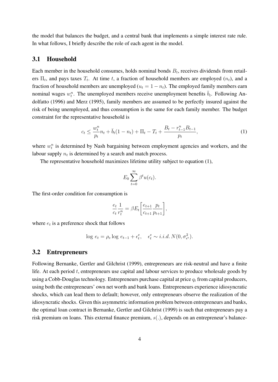the model that balances the budget, and a central bank that implements a simple interest rate rule. In what follows, I briefly describe the role of each agent in the model.

### 3.1 Household

Each member in the household consumes, holds nominal bonds  $B_t$ , receives dividends from retailers  $\Pi_t$ , and pays taxes  $T_t$ . At time t, a fraction of household members are employed  $(n_t)$ , and a fraction of household members are unemployed ( $u_t = 1 - n_t$ ). The employed family members earn nominal wages  $w_t^n$ . The unemployed members receive unemployment benefits  $\bar{b}_t$ . Following Andolfatto (1996) and Merz (1995), family members are assumed to be perfectly insured against the risk of being unemployed, and thus consumption is the same for each family member. The budget constraint for the representative household is

$$
c_t \le \frac{w_t^n}{p_t} n_t + \bar{b}_t (1 - n_t) + \Pi_t - T_t + \frac{B_t - r_{t-1}^n B_{t-1}}{p_t},
$$
\n(1)

where  $w_t^n$  is determined by Nash bargaining between employment agencies and workers, and the labour supply  $n_t$  is determined by a search and match process.

The representative household maximizes lifetime utility subject to equation (1),

$$
E_0\sum_{t=0}^{\infty}\beta^t u(c_t).
$$

The first-order condition for consumption is

$$
\frac{e_t}{c_t} \frac{1}{r_t^n} = \beta E_t \left[ \frac{e_{t+1}}{c_{t+1}} \frac{p_t}{p_{t+1}} \right],
$$

where  $e_t$  is a preference shock that follows

$$
\log e_t = \rho_e \log e_{t-1} + \epsilon_t^e, \quad \epsilon_t^e \sim i.i.d. N(0, \sigma_{\epsilon^e}^2).
$$

#### 3.2 Entrepreneurs

Following Bernanke, Gertler and Gilchrist (1999), entrepreneurs are risk-neutral and have a finite life. At each period  $t$ , entrepreneurs use capital and labour services to produce wholesale goods by using a Cobb-Douglas technology. Entrepreneurs purchase capital at price  $q_t$  from capital producers, using both the entrepreneurs' own net worth and bank loans. Entrepreneurs experience idiosyncratic shocks, which can lead them to default; however, only entrepreneurs observe the realization of the idiosyncratic shocks. Given this asymmetric information problem between entrepreneurs and banks, the optimal loan contract in Bernanke, Gertler and Gilchrist (1999) is such that entrepreneurs pay a risk premium on loans. This external finance premium,  $s(.)$ , depends on an entrepreneur's balance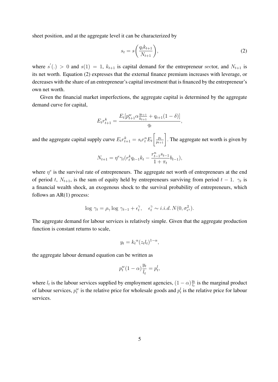sheet position, and at the aggregate level it can be characterized by

$$
s_t = s\left(\frac{q_t k_{t+1}}{N_{t+1}}\right),\tag{2}
$$

where  $s'(.) > 0$  and  $s(1) = 1$ ,  $k_{t+1}$  is capital demand for the entrepreneur sector, and  $N_{t+1}$  is its net worth. Equation (2) expresses that the external finance premium increases with leverage, or decreases with the share of an entrepreneur's capital investment that is financed by the entrepreneur's own net worth.

Given the financial market imperfections, the aggregate capital is determined by the aggregate demand curve for capital,

$$
E_t r_{t+1}^k = \frac{E_t[p_{t+1}^w \alpha_{k+1}^{y_{t+1}} + q_{t+1}(1-\delta)]}{q_t},
$$

and the aggregate capital supply curve  $E_t r_{t+1}^k = s_t r_t^n E_t$  $\left[\frac{p_t}{p_{t+1}}\right]$ . The aggregate net worth is given by

$$
N_{t+1} = \eta^{e} \gamma_t (r_t^k q_{t-1} k_t - \frac{r_{t-1}^n s_{t-1}}{1 + \pi_t} b_{t-1}),
$$

where  $\eta^e$  is the survival rate of entrepreneurs. The aggregate net worth of entrepreneurs at the end of period t,  $N_{t+1}$ , is the sum of equity held by entrepreneurs surviving from period  $t-1$ .  $\gamma_t$  is a financial wealth shock, an exogenous shock to the survival probability of entrepreneurs, which follows an  $AR(1)$  process:

$$
\log \gamma_t = \rho_\gamma \log \gamma_{t-1} + \epsilon_t^\gamma, \quad \epsilon_t^\gamma \sim i.i.d. N(0, \sigma_{\epsilon^2}^2).
$$

The aggregate demand for labour services is relatively simple. Given that the aggregate production function is constant returns to scale,

$$
y_t = k_t^{\alpha} (z_t l_t)^{1-\alpha},
$$

the aggregate labour demand equation can be written as

$$
p_t^w (1 - \alpha) \frac{y_t}{l_t} = p_t^l,
$$

where  $l_t$  is the labour services supplied by employment agencies,  $(1 - \alpha) \frac{y_t}{l_t}$  $\frac{y_t}{l_t}$  is the marginal product of labour services,  $p_t^w$  is the relative price for wholesale goods and  $p_t^l$  is the relative price for labour services.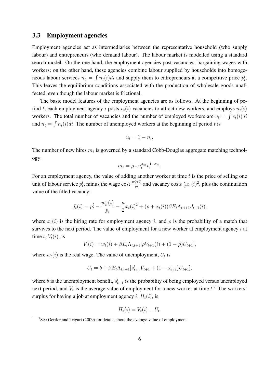#### 3.3 Employment agencies

Employment agencies act as intermediaries between the representative household (who supply labour) and entrepreneurs (who demand labour). The labour market is modelled using a standard search model. On the one hand, the employment agencies post vacancies, bargaining wages with workers; on the other hand, these agencies combine labour supplied by households into homogeneous labour services  $n_t = \int n_t(i)di$  and supply them to entrepreneurs at a competitive price  $p_t^l$ . This leaves the equilibrium conditions associated with the production of wholesale goods unaffected, even though the labour market is frictional.

The basic model features of the employment agencies are as follows. At the beginning of period t, each employment agency i posts  $v_t(i)$  vacancies to attract new workers, and employs  $n_t(i)$ workers. The total number of vacancies and the number of employed workers are  $v_t = \int v_t(i)di$ and  $n_t = \int n_t(i)di$ . The number of unemployed workers at the beginning of period t is

$$
u_t = 1 - n_t.
$$

The number of new hires  $m_t$  is governed by a standard Cobb-Douglas aggregate matching technology:

$$
m_t = \mu_m u_t^{\sigma_m} v_t^{1-\sigma_m}.
$$

For an employment agency, the value of adding another worker at time  $t$  is the price of selling one unit of labour service  $p_t^l$ , minus the wage cost  $\frac{w_t^n(i)}{p_t}$  $\frac{n_t(i)}{p_t}$  and vacancy costs  $\frac{\kappa}{2}x_t(i)^2$ , plus the continuation value of the filled vacancy:

$$
J_t(i) = p_t^l - \frac{w_t^n(i)}{p_t} - \frac{\kappa}{2} x_t(i)^2 + (\rho + x_t(i))\beta E_t \Lambda_{t,t+1} J_{t+1}(i),
$$

where  $x_t(i)$  is the hiring rate for employment agency i, and  $\rho$  is the probability of a match that survives to the next period. The value of employment for a new worker at employment agency  $i$  at time t,  $V_t(i)$ , is

$$
V_t(i) = w_t(i) + \beta E_t \Lambda_{t,t+1} [\rho V_{t+1}(i) + (1 - \rho) U_{t+1}],
$$

where  $w_t(i)$  is the real wage. The value of unemployment,  $U_t$  is

$$
U_t = \bar{b} + \beta E_t \Lambda_{t,t+1} [s_{t+1}^l V_{t+1} + (1 - s_{t+1}^l) U_{t+1}],
$$

where  $\bar{b}$  is the unemployment benefit,  $s_{t+1}^l$  is the probability of being employed versus unemployed next period, and  $V_t$  is the average value of employment for a new worker at time  $t$ <sup>7</sup>. The workers' surplus for having a job at employment agency i,  $H_t(i)$ , is

$$
H_t(i) = V_t(i) - U_t.
$$

<sup>&</sup>lt;sup>7</sup>See Gertler and Trigari (2009) for details about the average value of employment.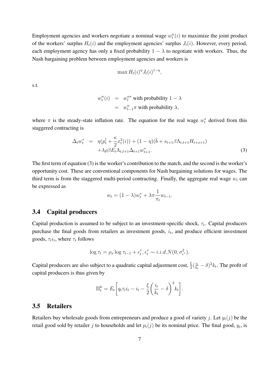Employment agencies and workers negotiate a nominal wage  $w_t^n(i)$  to maximize the joint product of the workers' surplus  $H_t(i)$  and the employment agencies' surplus  $J_t(i)$ . However, every period, each employment agency has only a fixed probability  $1 - \lambda$  to negotiate with workers. Thus, the Nash bargaining problem between employment agencies and workers is

$$
\max H_t(i)^{\eta} J_t(i)^{1-\eta},
$$

s.t.

$$
w_t^n(i) = w_t^{n*}
$$
 with probability  $1 - \lambda$   
=  $w_{t-1}^n \pi$  with probability  $\lambda$ ,

where  $\pi$  is the steady-state inflation rate. The equation for the real wage  $w_t^*$  derived from this staggered contracting is

$$
\Delta_t w_t^* = \eta(p_t^l + \frac{\kappa}{2} x_t^2(i)) + (1 - \eta)(\bar{b} + s_{t+1}\beta \Lambda_{t,t+1} H_{t+s+1}) \n+ \lambda \rho \beta E_t \Lambda_{t,t+1} \Delta_{t+1} w_{t+1}^*.
$$
\n(3)

The first term of equation (3) is the worker's contribution to the match, and the second is the worker's opportunity cost. These are conventional components for Nash bargaining solutions for wages. The third term is from the staggered multi-period contracting. Finally, the aggregate real wage  $w_t$  can be expressed as

$$
w_t = (1 - \lambda)w_t^* + \lambda \pi \frac{1}{\pi_t} w_{t-1}.
$$

### 3.4 Capital producers

Capital production is assumed to be subject to an investment-specific shock,  $\tau_t$ . Capital producers purchase the final goods from retailers as investment goods,  $i_t$ , and produce efficient investment goods,  $\tau_t i_t$ , where  $\tau_t$  follows

$$
\log \tau_t = \rho_x \log \tau_{t-1} + \epsilon_t^{\tau}, \epsilon_t^{\tau} \sim i.i.d.N(0, \sigma_{\epsilon^{\tau}}^2).
$$

Capital producers are also subject to a quadratic capital adjustment cost,  $\frac{\xi}{2}(\frac{i_t}{k_t})$  $\frac{i_t}{k_t} - \delta)^2 k_t$ . The profit of capital producers is thus given by

$$
\Pi_t^k = E_t \bigg[ q_t \tau_t i_t - i_t - \frac{\xi}{2} \bigg( \frac{i_t}{k_t} - \delta \bigg)^2 k_t \bigg].
$$

### 3.5 Retailers

Retailers buy wholesale goods from entrepreneurs and produce a good of variety j. Let  $y_t(j)$  be the retail good sold by retailer j to households and let  $p_t(j)$  be its nominal price. The final good,  $y_t$ , is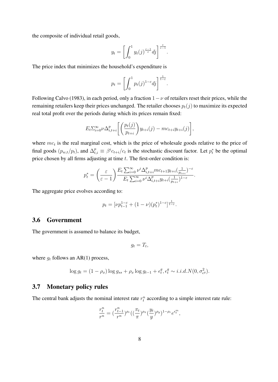the composite of individual retail goods,

$$
y_t = \left[ \int_0^1 y_t(j)^{\frac{\varepsilon - 1}{\varepsilon}} dj \right]^{\frac{\varepsilon}{\varepsilon - 1}}.
$$

The price index that minimizes the household's expenditure is

$$
p_t = \left[ \int_0^1 p_t(j)^{1-\varepsilon} dj \right]^{\frac{1}{1-\varepsilon}}.
$$

Following Calvo (1983), in each period, only a fraction  $1 - \nu$  of retailers reset their prices, while the remaining retailers keep their prices unchanged. The retailer chooses  $p_t(j)$  to maximize its expected real total profit over the periods during which its prices remain fixed:

$$
E_t \sum_{i=0}^{\infty} \nu \Delta_{i,t+i}^p \left[ \left( \frac{p_t(j)}{p_{t+i}} \right) y_{t+i}(j) - mc_{t+i} y_{t+i}(j) \right],
$$

where  $mc<sub>t</sub>$  is the real marginal cost, which is the price of wholesale goods relative to the price of final goods  $(p_{w,t}/p_t)$ , and  $\Delta_{t,i}^p \equiv \beta^i c_{t+i}/c_t$  is the stochastic discount factor. Let  $p_t^*$  be the optimal price chosen by all firms adjusting at time  $t$ . The first-order condition is:

$$
p_t^* = \left(\frac{\varepsilon}{\varepsilon - 1}\right) \frac{E_t \sum_{i=0}^{\infty} \nu^i \Delta_{i, t+i}^p mc_{t+1} y_{t+i} (\frac{1}{p_{t+i}})^{-\varepsilon}}{E_t \sum_{i=0}^{\infty} \nu^i \Delta_{i, t+i}^p y_{t+i} (\frac{1}{p_{t+i}})^{1-\varepsilon}}.
$$

The aggregate price evolves according to:

$$
p_t = [\nu p_{t-1}^{1-\varepsilon} + (1-\nu)(p_t^*)^{1-\varepsilon}]^{\frac{1}{1-\varepsilon}}.
$$

#### 3.6 Government

The government is assumed to balance its budget,

$$
g_t = T_t,
$$

where  $g_t$  follows an AR(1) process,

$$
\log g_t = (1 - \rho_x) \log g_{ss} + \rho_x \log g_{t-1} + \epsilon_t^g, \epsilon_t^g \sim i.i.d.N(0, \sigma_{\epsilon^g}^2).
$$

#### 3.7 Monetary policy rules

The central bank adjusts the nominal interest rate  $r_t^n$  according to a simple interest rate rule:

$$
\frac{r^n_t}{r^n}=(\frac{r^n_{t-1}}{r^n})^{\rho_r}((\frac{\pi_t}{\pi})^{\rho_{\pi}}(\frac{y_t}{y})^{\rho_y})^{1-\rho_r}e^{\epsilon_t^m},
$$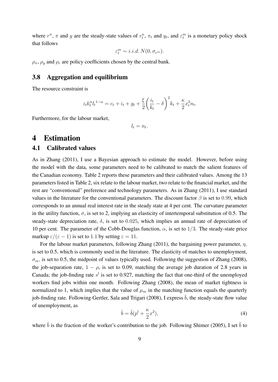where  $r^n$ ,  $\pi$  and y are the steady-state values of  $r_t^n$ ,  $\pi_t$  and  $y_t$ , and  $\varepsilon_t^m$  is a monetary policy shock that follows

$$
\varepsilon_t^m \sim i.i.d.\, N(0,\sigma_{\varepsilon^m}).
$$

 $\rho_{\pi}$ ,  $\rho_{\nu}$  and  $\rho_{r}$  are policy coefficients chosen by the central bank.

### 3.8 Aggregation and equilibrium

The resource constraint is

$$
z_t k_t^{\alpha} l_t^{1-\alpha} = c_t + i_t + g_t + \frac{\xi}{2} \left(\frac{i_t}{k_t} - \delta\right)^2 k_t + \frac{\kappa}{2} x_t^2 n_t.
$$

Furthermore, for the labour market,

 $l_t = n_t$ .

## 4 Estimation

### 4.1 Calibrated values

As in Zhang (2011), I use a Bayesian approach to estimate the model. However, before using the model with the data, some parameters need to be calibrated to match the salient features of the Canadian economy. Table 2 reports these parameters and their calibrated values. Among the 13 parameters listed in Table 2, six relate to the labour market, two relate to the financial market, and the rest are "conventional" preference and technology parameters. As in Zhang (2011), I use standard values in the literature for the conventional parameters. The discount factor  $\beta$  is set to 0.99, which corresponds to an annual real interest rate in the steady state at 4 per cent. The curvature parameter in the utility function,  $\sigma$ , is set to 2, implying an elasticity of intertemporal substitution of 0.5. The steady-state depreciation rate,  $\delta$ , is set to 0.025, which implies an annual rate of depreciation of 10 per cent. The parameter of the Cobb-Douglas function,  $\alpha$ , is set to 1/3. The steady-state price markup  $\varepsilon/(\varepsilon - 1)$  is set to 1.1 by setting  $\varepsilon = 11$ .

For the labour market parameters, following Zhang (2011), the bargaining power parameter,  $\eta$ , is set to 0.5, which is commonly used in the literature. The elasticity of matches to unemployment,  $\sigma_m$ , is set to 0.5, the midpoint of values typically used. Following the suggestion of Zhang (2008), the job-separation rate,  $1 - \rho$ , is set to 0.09, matching the average job duration of 2.8 years in Canada; the job-finding rate  $s^l$  is set to 0.927, matching the fact that one-third of the unemployed workers find jobs within one month. Following Zhang (2008), the mean of market tightness is normalized to 1, which implies that the value of  $\mu_m$  in the matching function equals the quarterly job-finding rate. Following Gertler, Sala and Trigari (2008), I express  $\bar{b}$ , the steady-state flow value of unemployment, as

$$
\bar{b} = \tilde{b}(p^l + \frac{\kappa}{2}x^2),\tag{4}
$$

where  $\tilde{b}$  is the fraction of the worker's contribution to the job. Following Shimer (2005), I set  $\tilde{b}$  to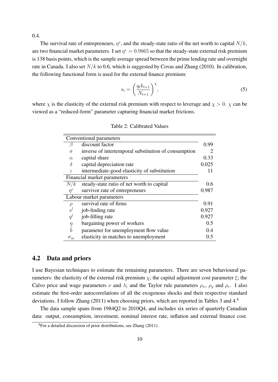0.4.

The survival rate of entrepreneurs,  $\eta^e$ , and the steady-state ratio of the net worth to capital  $N/k$ , are two financial market parameters. I set  $\eta^e = 0.9865$  so that the steady-state external risk premium is 138 basis points, which is the sample average spread between the prime lending rate and overnight rate in Canada. I also set  $N/k$  to 0.6, which is suggested by Covas and Zhang (2010). In calibration, the following functional form is used for the external finance premium:

$$
s_t = \left(\frac{q_t k_{t+1}}{N_{t+1}}\right)^{\chi},\tag{5}
$$

where  $\chi$  is the elasticity of the external risk premium with respect to leverage and  $\chi > 0$ .  $\chi$  can be viewed as a "reduced-form" parameter capturing financial market frictions.

|                          | Conventional parameters                              |       |
|--------------------------|------------------------------------------------------|-------|
| ß                        | discount factor                                      | 0.99  |
| $\sigma$                 | inverse of intertemporal substitution of consumption |       |
| $\alpha$                 | capital share                                        | 0.33  |
| $\delta$                 | capital depreciation rate                            | 0.025 |
| $\epsilon$               | intermediate-good elasticity of substitution         | 11    |
|                          | Financial market parameters                          |       |
| N/k                      | steady-state ratio of net worth to capital           | 0.6   |
| $\eta^e$                 | survivor rate of entrepreneurs                       | 0.987 |
|                          | Labour market parameters                             |       |
| $\rho$                   | survival rate of firms                               | 0.91  |
| $s^l$                    | job-finding rate                                     | 0.927 |
| $q^l$                    | job-filling rate                                     | 0.927 |
|                          | bargaining power of workers                          | 0.5   |
| $\frac{\eta}{\tilde{b}}$ | parameter for unemployment flow value                | 0.4   |
| $\sigma_m$               | elasticity in matches to unemployment                | 0.5   |

Table 2: Calibrated Values

#### 4.2 Data and priors

I use Bayesian techniques to estimate the remaining parameters. There are seven behavioural parameters: the elasticity of the external risk premium  $\chi$ ; the capital adjustment cost parameter  $\xi$ ; the Calvo price and wage parameters  $\nu$  and  $\lambda$ ; and the Taylor rule parameters  $\rho_{\pi}$ ,  $\rho_{\nu}$  and  $\rho_{r}$ . I also estimate the first-order autocorrelations of all the exogenous shocks and their respective standard deviations. I follow Zhang (2011) when choosing priors, which are reported in Tables 3 and 4.<sup>8</sup>

The data sample spans from 1984Q2 to 2010Q4, and includes six series of quarterly Canadian data: output, consumption, investment, nominal interest rate, inflation and external finance cost.

 ${}^{8}$ For a detailed discussion of prior distributions, see Zhang (2011).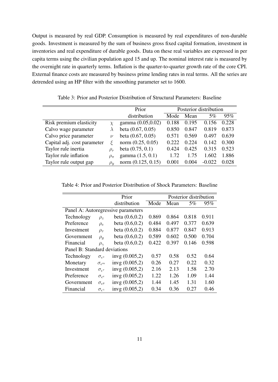Output is measured by real GDP. Consumption is measured by real expenditures of non-durable goods. Investment is measured by the sum of business gross fixed capital formation, investment in inventories and real expenditure of durable goods. Data on these real variables are expressed in per capita terms using the civilian population aged 15 and up. The nominal interest rate is measured by the overnight rate in quarterly terms. Inflation is the quarter-to-quarter growth rate of the core CPI. External finance costs are measured by business prime lending rates in real terms. All the series are detrended using an HP filter with the smoothing parameter set to 1600.

|                             |              | Prior                |       |       | Posterior distribution |       |
|-----------------------------|--------------|----------------------|-------|-------|------------------------|-------|
|                             |              | distribution         | Mode  | Mean  | $5\%$                  | 95%   |
| Risk premium elasticity     |              | gamma (0.05,0.02)    | 0.188 | 0.195 | 0.156                  | 0.228 |
| Calvo wage parameter        |              | beta $(0.67, 0.05)$  | 0.850 | 0.847 | 0.819                  | 0.873 |
| Calvo price parameter       | $\nu$        | beta $(0.67, 0.05)$  | 0.571 | 0.569 | 0.497                  | 0.639 |
| Capital adj. cost parameter |              | norm $(0.25, 0.05)$  | 0.222 | 0.224 | 0.142                  | 0.300 |
| Taylor rule inertia         | $\rho_r$     | beta $(0.75, 0.1)$   | 0.424 | 0.425 | 0.315                  | 0.523 |
| Taylor rule inflation       | $\rho_{\pi}$ | gamma $(1.5, 0.1)$   | 1.72  | 1.75  | 1.602                  | 1.886 |
| Taylor rule output gap      | $\rho_u$     | norm $(0.125, 0.15)$ | 0.001 | 0.004 | $-0.022$               | 0.028 |

Table 3: Prior and Posterior Distribution of Structural Parameters: Baseline

Table 4: Prior and Posterior Distribution of Shock Parameters: Baseline

|                              |                            | Prior                              |       |       | Posterior distribution |       |
|------------------------------|----------------------------|------------------------------------|-------|-------|------------------------|-------|
|                              |                            | distribution                       | Mode  | Mean  | 5%                     | 95%   |
|                              |                            | Panel A: Autoregressive parameters |       |       |                        |       |
| Technology                   | $\rho_z$                   | beta $(0.6, 0.2)$                  | 0.869 | 0.864 | 0.818                  | 0.911 |
| Preference                   | $\rho_e$                   | beta $(0.6, 0.2)$                  | 0.484 | 0.497 | 0.377                  | 0.639 |
| Investment                   | $\rho_{\tau}$              | beta $(0.6, 0.2)$                  | 0.884 | 0.877 | 0.847                  | 0.913 |
| Government                   | $\rho_g$                   | beta $(0.6, 0.2)$                  | 0.589 | 0.602 | 0.500                  | 0.704 |
| Financial                    | $\rho_{\gamma}$            | beta $(0.6, 0.2)$                  | 0.422 | 0.397 | 0.146                  | 0.598 |
| Panel B: Standard deviations |                            |                                    |       |       |                        |       |
| Technology                   | $\sigma_{\epsilon^z}$      | invg $(0.005,2)$                   | 0.57  | 0.58  | 0.52                   | 0.64  |
| Monetary                     | $\sigma_{\epsilon^m}$      | invg $(0.005,2)$                   | 0.26  | 0.27  | 0.22                   | 0.32  |
| Investment                   | $\sigma_{\epsilon^{\tau}}$ | invg $(0.005,2)$                   | 2.16  | 2.13  | 1.58                   | 2.70  |
| Preference                   | $\sigma_{\epsilon^e}$      | invg $(0.005,2)$                   | 1.22  | 1.26  | 1.09                   | 1.44  |
| Government                   | $\sigma_{\epsilon g}$      | invg $(0.005,2)$                   | 1.44  | 1.45  | 1.31                   | 1.60  |
| Financial                    | $\sigma_{\epsilon}$        | invg $(0.005,2)$                   | 0.34  | 0.36  | 0.27                   | 0.46  |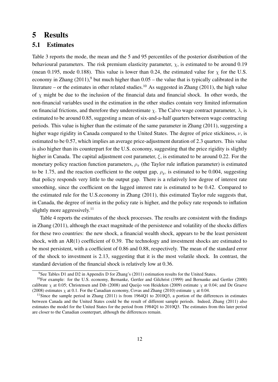## 5 Results

#### 5.1 Estimates

Table 3 reports the mode, the mean and the 5 and 95 percentiles of the posterior distribution of the behavioural parameters. The risk premium elasticity parameter,  $\chi$ , is estimated to be around 0.19 (mean 0.195, mode 0.188). This value is lower than 0.24, the estimated value for  $\chi$  for the U.S. economy in Zhang  $(2011)$ ,<sup>9</sup> but much higher than  $0.05$  – the value that is typically calibrated in the literature – or the estimates in other related studies.<sup>10</sup> As suggested in Zhang (2011), the high value of  $\chi$  might be due to the inclusion of the financial data and financial shock. In other words, the non-financial variables used in the estimation in the other studies contain very limited information on financial frictions, and therefore they underestimate  $\chi$ . The Calvo wage contract parameter,  $\lambda$ , is estimated to be around 0.85, suggesting a mean of six-and-a-half quarters between wage contracting periods. This value is higher than the estimate of the same parameter in Zhang (2011), suggesting a higher wage rigidity in Canada compared to the United States. The degree of price stickiness,  $\nu$ , is estimated to be 0.57, which implies an average price-adjustment duration of 2.3 quarters. This value is also higher than its counterpart for the U.S. economy, suggesting that the price rigidity is slightly higher in Canada. The capital adjustment cost parameter,  $\xi$ , is estimated to be around 0.22. For the monetary policy reaction function parameters,  $\rho_{\pi}$  (the Taylor rule inflation parameter) is estimated to be 1.75, and the reaction coefficient to the output gap,  $\rho_y$ , is estimated to be 0.004, suggesting that policy responds very little to the output gap. There is a relatively low degree of interest rate smoothing, since the coefficient on the lagged interest rate is estimated to be 0.42. Compared to the estimated rule for the U.S.economy in Zhang (2011), this estimated Taylor rule suggests that, in Canada, the degree of inertia in the policy rate is higher, and the policy rate responds to inflation slightly more aggressively.<sup>11</sup>

Table 4 reports the estimates of the shock processes. The results are consistent with the findings in Zhang (2011), although the exact magnitude of the persistence and volatility of the shocks differs for these two countries: the new shock, a financial wealth shock, appears to be the least persistent shock, with an AR(1) coefficient of 0.39. The technology and investment shocks are estimated to be most persistent, with a coefficient of 0.86 and 0.88, respectively. The mean of the standard error of the shock to investment is 2.13, suggesting that it is the most volatile shock. In contrast, the standard deviation of the financial shock is relatively low at 0.36.

<sup>9</sup>See Tables D1 and D2 in Appendix D for Zhang's (2011) estimation results for the United States.

<sup>&</sup>lt;sup>10</sup>For example: for the U.S. economy, Bernanke, Gertler and Gilchrist (1999) and Bernanke and Gertler (2000) calibrate  $\chi$  at 0.05; Christensen and Dib (2008) and Queijo von Heideken (2009) estimate  $\chi$  at 0.04; and De Graeve (2008) estimates  $\chi$  at 0.1. For the Canadian economy, Covas and Zhang (2010) estimate  $\chi$  at 0.04.

<sup>&</sup>lt;sup>11</sup>Since the sample period in Zhang (2011) is from 1964Q1 to 2010Q3, a portion of the differences in estimates between Canada and the United States could be the result of different sample periods. Indeed, Zhang (2011) also estimates the model for the United States for the period from 1984Q1 to 2010Q3. The estimates from this later period are closer to the Canadian counterpart, although the differences remain.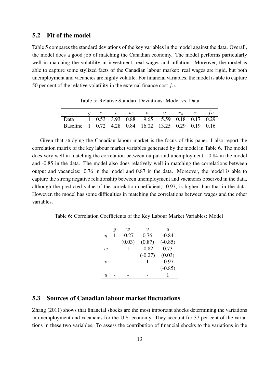### 5.2 Fit of the model

Table 5 compares the standard deviations of the key variables in the model against the data. Overall, the model does a good job of matching the Canadian economy. The model performs particularly well in matching the volatility in investment, real wages and inflation. Moreover, the model is able to capture some stylized facts of the Canadian labour market: real wages are rigid, but both unemployment and vacancies are highly volatile. For financial variables, the model is able to capture 50 per cent of the relative volatility in the external finance cost  $fc$ .

|                                                      |  | $c \qquad \quad \  \  \, u \qquad \quad w$ | v $u$ $r_n$ $\pi$                         |  |  |
|------------------------------------------------------|--|--------------------------------------------|-------------------------------------------|--|--|
| Data                                                 |  |                                            | 1 0.53 3.93 0.88 9.65 5.59 0.18 0.17 0.29 |  |  |
| Baseline 1 0.72 4.28 0.84 16.02 13.25 0.29 0.19 0.16 |  |                                            |                                           |  |  |

Table 5: Relative Standard Deviations: Model vs. Data

Given that studying the Canadian labour market is the focus of this paper, I also report the correlation matrix of the key labour market variables generated by the model in Table 6. The model does very well in matching the correlation between output and unemployment: -0.84 in the model and -0.85 in the data. The model also does relatively well in matching the correlations between output and vacancies: 0.76 in the model and 0.87 in the data. Moreover, the model is able to capture the strong negative relationship between unemployment and vacancies observed in the data, although the predicted value of the correlation coefficient, -0.97, is higher than that in the data. However, the model has some difficulties in matching the correlations between wages and the other variables.

Table 6: Correlation Coefficients of the Key Labour Market Variables: Model

|                  | Y | $\overline{w}$ | $\eta$    | u         |
|------------------|---|----------------|-----------|-----------|
| $\boldsymbol{y}$ |   | $-0.27$        | 0.76      | $-0.84$   |
|                  |   | (0.03)         | (0.87)    | $(-0.85)$ |
| $\overline{w}$   |   |                | $-0.82$   | 0.73      |
|                  |   |                | $(-0.27)$ | (0.03)    |
| $\eta$           |   |                |           | $-0.97$   |
|                  |   |                |           | $(-0.85)$ |
| u                |   |                |           |           |
|                  |   |                |           |           |

## 5.3 Sources of Canadian labour market fluctuations

Zhang (2011) shows that financial shocks are the most important shocks determining the variations in unemployment and vacancies for the U.S. economy. They account for 37 per cent of the variations in these two variables. To assess the contribution of financial shocks to the variations in the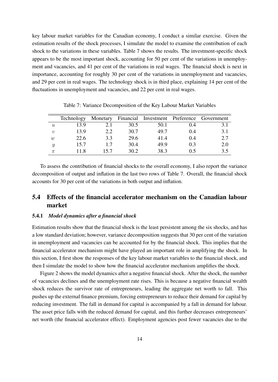key labour market variables for the Canadian economy, I conduct a similar exercise. Given the estimation results of the shock processes, I simulate the model to examine the contribution of each shock to the variations in these variables. Table 7 shows the results. The investment-specific shock appears to be the most important shock, accounting for 50 per cent of the variations in unemployment and vacancies, and 41 per cent of the variations in real wages. The financial shock is next in importance, accounting for roughly 30 per cent of the variations in unemployment and vacancies, and 29 per cent in real wages. The technology shock is in third place, explaining 14 per cent of the fluctuations in unemployment and vacancies, and 22 per cent in real wages.

|                  | <b>Technology</b> |     |      |      |     | Monetary Financial Investment Preference Government |
|------------------|-------------------|-----|------|------|-----|-----------------------------------------------------|
| $\boldsymbol{u}$ | 13.9              | 2.1 | 30.5 | 50.1 | 0.4 | 3.1                                                 |
| $\boldsymbol{v}$ | 13.9              | 2.2 | 30.7 | 49.7 | 0.4 | 3.1                                                 |
| $\overline{w}$   | 22.6              | 3.3 | 29.6 | 41.4 | 0.4 | 2.7                                                 |
| Y                | 15.7              | 1.7 | 30.4 | 49.9 | 0.3 | 2.0                                                 |
| $\pi$            | 11 8              | 157 | 30.2 | 38.3 | 05  | 35                                                  |

Table 7: Variance Decomposition of the Key Labour Market Variables

To assess the contribution of financial shocks to the overall economy, I also report the variance decomposition of output and inflation in the last two rows of Table 7. Overall, the financial shock accounts for 30 per cent of the variations in both output and inflation.

## 5.4 Effects of the financial accelerator mechanism on the Canadian labour market

#### 5.4.1 *Model dynamics after a financial shock*

Estimation results show that the financial shock is the least persistent among the six shocks, and has a low standard deviation; however, variance decomposition suggests that 30 per cent of the variation in unemployment and vacancies can be accounted for by the financial shock. This implies that the financial accelerator mechanism might have played an important role in amplifying the shock. In this section, I first show the responses of the key labour market variables to the financial shock, and then I simulate the model to show how the financial accelerator mechanism amplifies the shock.

Figure 2 shows the model dynamics after a negative financial shock. After the shock, the number of vacancies declines and the unemployment rate rises. This is because a negative financial wealth shock reduces the survivor rate of entrepreneurs, leading the aggregate net worth to fall. This pushes up the external finance premium, forcing entrepreneurs to reduce their demand for capital by reducing investment. The fall in demand for capital is accompanied by a fall in demand for labour. The asset price falls with the reduced demand for capital, and this further decreases entrepreneurs' net worth (the financial accelerator effect). Employment agencies post fewer vacancies due to the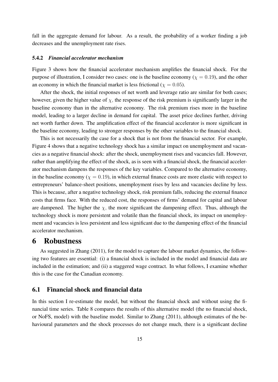fall in the aggregate demand for labour. As a result, the probability of a worker finding a job decreases and the unemployment rate rises.

#### 5.4.2 *Financial accelerator mechanism*

Figure 3 shows how the financial accelerator mechanism amplifies the financial shock. For the purpose of illustration, I consider two cases: one is the baseline economy ( $\chi = 0.19$ ), and the other an economy in which the financial market is less frictional ( $\chi = 0.05$ ).

After the shock, the initial responses of net worth and leverage ratio are similar for both cases; however, given the higher value of  $\chi$ , the response of the risk premium is significantly larger in the baseline economy than in the alternative economy. The risk premium rises more in the baseline model, leading to a larger decline in demand for capital. The asset price declines further, driving net worth further down. The amplification effect of the financial accelerator is more significant in the baseline economy, leading to stronger responses by the other variables to the financial shock.

This is not necessarily the case for a shock that is not from the financial sector. For example, Figure 4 shows that a negative technology shock has a similar impact on unemployment and vacancies as a negative financial shock: after the shock, unemployment rises and vacancies fall. However, rather than amplifying the effect of the shock, as is seen with a financial shock, the financial accelerator mechanism dampens the responses of the key variables. Compared to the alternative economy, in the baseline economy ( $\chi = 0.19$ ), in which external finance costs are more elastic with respect to entrepreneurs' balance-sheet positions, unemployment rises by less and vacancies decline by less. This is because, after a negative technology shock, risk premium falls, reducing the external finance costs that firms face. With the reduced cost, the responses of firms' demand for capital and labour are dampened. The higher the  $\chi$ , the more significant the dampening effect. Thus, although the technology shock is more persistent and volatile than the financial shock, its impact on unemployment and vacancies is less persistent and less significant due to the dampening effect of the financial accelerator mechanism.

## 6 Robustness

As suggested in Zhang (2011), for the model to capture the labour market dynamics, the following two features are essential: (i) a financial shock is included in the model and financial data are included in the estimation; and (ii) a staggered wage contract. In what follows, I examine whether this is the case for the Canadian economy.

#### 6.1 Financial shock and financial data

In this section I re-estimate the model, but without the financial shock and without using the financial time series. Table 8 compares the results of this alternative model (the no financial shock, or NoFS, model) with the baseline model. Similar to Zhang (2011), although estimates of the behavioural parameters and the shock processes do not change much, there is a significant decline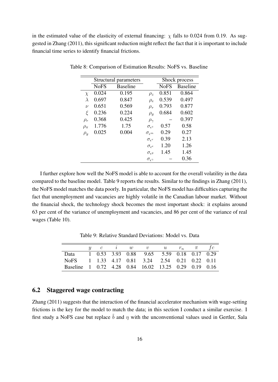in the estimated value of the elasticity of external financing:  $\chi$  falls to 0.024 from 0.19. As suggested in Zhang (2011), this significant reduction might reflect the fact that it is important to include financial time series to identify financial frictions.

|              |             | Structural parameters |                            |             | Shock process   |
|--------------|-------------|-----------------------|----------------------------|-------------|-----------------|
|              | <b>NoFS</b> | <b>Baseline</b>       |                            | <b>NoFS</b> | <b>Baseline</b> |
| $\chi$       | 0.024       | 0.195                 | $\rho_z$                   | 0.851       | 0.864           |
| λ            | 0.697       | 0.847                 | $\rho_e$                   | 0.539       | 0.497           |
| $\nu$        | 0.651       | 0.569                 | $\rho_{\tau}$              | 0.793       | 0.877           |
| ξ            | 0.236       | 0.224                 | $\rho_g$                   | 0.684       | 0.602           |
| $\rho_r$     | 0.368       | 0.425                 | $\rho_{\gamma}$            |             | 0.397           |
| $\rho_{\pi}$ | 1.776       | 1.75                  | $\sigma_{\epsilon^z}$      | 0.57        | 0.58            |
| $\rho_y$     | 0.025       | 0.004                 | $\sigma_{\epsilon^m}$      | 0.29        | 0.27            |
|              |             |                       | $\sigma_{\epsilon^{\tau}}$ | 0.39        | 2.13            |
|              |             |                       | $\sigma_{\epsilon^e}$      | 1.20        | 1.26            |
|              |             |                       | $\sigma_{\epsilon}$ g      | 1.45        | 1.45            |
|              |             |                       | $\sigma_{\epsilon}$        |             | 0.36            |

Table 8: Comparison of Estimation Results: NoFS vs. Baseline

I further explore how well the NoFS model is able to account for the overall volatility in the data compared to the baseline model. Table 9 reports the results. Similar to the findings in Zhang (2011), the NoFS model matches the data poorly. In particular, the NoFS model has difficulties capturing the fact that unemployment and vacancies are highly volatile in the Canadian labour market. Without the financial shock, the technology shock becomes the most important shock: it explains around 63 per cent of the variance of unemployment and vacancies, and 86 per cent of the variance of real wages (Table 10).

Table 9: Relative Standard Deviations: Model vs. Data

|                                                      |  |  | y c i w v u $r_n$ $\pi$ fc                |  |  |
|------------------------------------------------------|--|--|-------------------------------------------|--|--|
| Data                                                 |  |  | 1 0.53 3.93 0.88 9.65 5.59 0.18 0.17 0.29 |  |  |
| No S 1 1.33 4.17 0.81 3.24 2.54 0.21 0.22 0.11       |  |  |                                           |  |  |
| Baseline 1 0.72 4.28 0.84 16.02 13.25 0.29 0.19 0.16 |  |  |                                           |  |  |

### 6.2 Staggered wage contracting

Zhang (2011) suggests that the interaction of the financial accelerator mechanism with wage-setting frictions is the key for the model to match the data; in this section I conduct a similar exercise. I first study a NoFS case but replace  $\tilde{b}$  and  $\eta$  with the unconventional values used in Gertler, Sala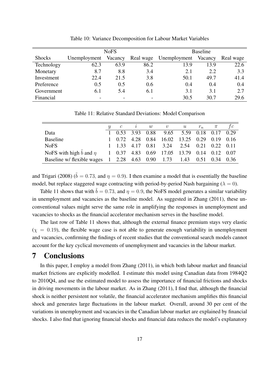|               |              | <b>NoFS</b> |      | <b>Baseline</b>        |         |           |  |
|---------------|--------------|-------------|------|------------------------|---------|-----------|--|
| <b>Shocks</b> | Unemployment | Vacancy     |      | Real wage Unemployment | Vacancy | Real wage |  |
| Technology    | 62.3         | 63.9        | 86.2 | 13.9                   | 13.9    | 22.6      |  |
| Monetary      | 8.7          | 8.8         | 3.4  | 2.1                    | 2.2     | 3.3       |  |
| Investment    | 22.4         | 21.5        | 3.8  | 50.1                   | 49.7    | 41.4      |  |
| Preference    | 0.5          | 0.5         | 0.6  | 0.4                    | 0.4     | 0.4       |  |
| Government    | 6.1          | 5.4         | 6.1  | 3.1                    | 3.1     | 2.7       |  |
| Financial     |              |             |      | 30.5                   | 30.7    | 29.6      |  |

Table 10: Variance Decomposition for Labour Market Variables

Table 11: Relative Standard Deviations: Model Comparison

|                                                                         | $\mathcal{C}$ |  | $i \hspace{.25cm} w \hspace{.25cm} v \hspace{.25cm} u$ |  | $r_n$ $\pi$ $fc$ |  |
|-------------------------------------------------------------------------|---------------|--|--------------------------------------------------------|--|------------------|--|
| Data                                                                    |               |  | 1 0.53 3.93 0.88 9.65 5.59 0.18 0.17 0.29              |  |                  |  |
| Baseline                                                                |               |  | 1 0.72 4.28 0.84 16.02 13.25 0.29 0.19 0.16            |  |                  |  |
| <b>NoFS</b>                                                             |               |  | 1 1.33 4.17 0.81 3.24 2.54 0.21 0.22 0.11              |  |                  |  |
| NoFS with high b and $\eta$ 1 0.37 4.83 0.69 17.05 13.79 0.14 0.12 0.07 |               |  |                                                        |  |                  |  |
| Baseline w/ flexible wages 1 2.28 4.63 0.90 1.73 1.43 0.51 0.34 0.36    |               |  |                                                        |  |                  |  |

and Trigari (2008) ( $\tilde{b} = 0.73$ , and  $\eta = 0.9$ ). I then examine a model that is essentially the baseline model, but replace staggered wage contracting with period-by-period Nash bargaining ( $\lambda = 0$ ).

Table 11 shows that with  $\tilde{b} = 0.73$ , and  $\eta = 0.9$ , the NoFS model generates a similar variability in unemployment and vacancies as the baseline model. As suggested in Zhang (2011), these unconventional values might serve the same role in amplifying the responses in unemployment and vacancies to shocks as the financial accelerator mechanism serves in the baseline model.

The last row of Table 11 shows that, although the external finance premium stays very elastic  $(\chi = 0.19)$ , the flexible wage case is not able to generate enough variability in unemployment and vacancies, confirming the findings of recent studies that the conventional search models cannot account for the key cyclical movements of unemployment and vacancies in the labour market.

## 7 Conclusions

In this paper, I employ a model from Zhang (2011), in which both labour market and financial market frictions are explicitly modelled. I estimate this model using Canadian data from 1984Q2 to 2010Q4, and use the estimated model to assess the importance of financial frictions and shocks in driving movements in the labour market. As in Zhang (2011), I find that, although the financial shock is neither persistent nor volatile, the financial accelerator mechanism amplifies this financial shock and generates large fluctuations in the labour market. Overall, around 30 per cent of the variations in unemployment and vacancies in the Canadian labour market are explained by financial shocks. I also find that ignoring financial shocks and financial data reduces the model's explanatory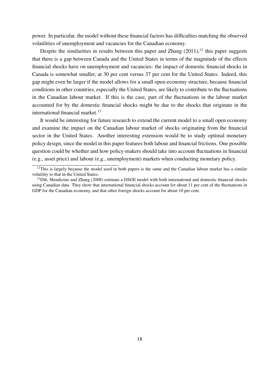power. In particular, the model without these financial factors has difficulties matching the observed volatilities of unemployment and vacancies for the Canadian economy.

Despite the similarities in results between this paper and Zhang  $(2011)$ ,<sup>12</sup> this paper suggests that there is a gap between Canada and the United States in terms of the magnitude of the effects financial shocks have on unemployment and vacancies: the impact of domestic financial shocks in Canada is somewhat smaller, at 30 per cent versus 37 per cent for the United States. Indeed, this gap might even be larger if the model allows for a small open-economy structure, because financial conditions in other countries, especially the United States, are likely to contribute to the fluctuations in the Canadian labour market. If this is the case, part of the fluctuations in the labour market accounted for by the domestic financial shocks might be due to the shocks that originate in the international financial market.<sup>13</sup>

It would be interesting for future research to extend the current model to a small open economy and examine the impact on the Canadian labour market of shocks originating from the financial sector in the United States. Another interesting extension would be to study optimal monetary policy design, since the model in this paper features both labour and financial frictions. One possible question could be whether and how policy-makers should take into account fluctuations in financial (e.g., asset price) and labour (e.g., unemployment) markets when conducting monetary policy.

 $12$ This is largely because the model used in both papers is the same and the Canadian labour market has a similar volatility to that in the United States.

 $<sup>13</sup>$ Dib, Mendicino and Zhang (2008) estimate a DSGE model with both international and domestic financial shocks</sup> using Canadian data. They show that international financial shocks account for about 11 per cent of the fluctuations in GDP for the Canadian economy, and that other foreign shocks account for about 10 per cent.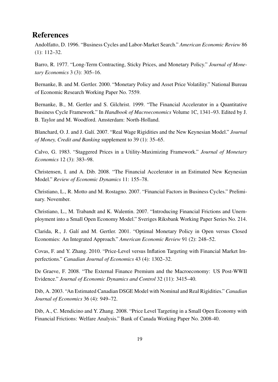## **References**

Andolfatto, D. 1996. "Business Cycles and Labor-Market Search." *American Economic Review* 86 (1): 112–32.

Barro, R. 1977. "Long-Term Contracting, Sticky Prices, and Monetary Policy." *Journal of Monetary Economics* 3 (3): 305–16.

Bernanke, B. and M. Gertler. 2000. "Monetary Policy and Asset Price Volatility." National Bureau of Economic Research Working Paper No. 7559.

Bernanke, B., M. Gertler and S. Gilchrist. 1999. "The Financial Accelerator in a Quantitative Business Cycle Framework." In *Handbook of Macroeconomics* Volume 1C, 1341–93. Edited by J. B. Taylor and M. Woodford. Amsterdam: North-Holland.

Blanchard, O. J. and J. Gal´ı. 2007. "Real Wage Rigidities and the New Keynesian Model." *Journal of Money, Credit and Banking* supplement to 39 (1): 35–65.

Calvo, G. 1983. "Staggered Prices in a Utility-Maximizing Framework." *Journal of Monetary Economics* 12 (3): 383–98.

Christensen, I. and A. Dib. 2008. "The Financial Accelerator in an Estimated New Keynesian Model." *Review of Economic Dynamics* 11: 155–78.

Christiano, L., R. Motto and M. Rostagno. 2007. "Financial Factors in Business Cycles." Preliminary. November.

Christiano, L., M. Trabandt and K. Walentin. 2007. "Introducing Financial Frictions and Unemployment into a Small Open Economy Model." Sveriges Riksbank Working Paper Series No. 214.

Clarida, R., J. Gal´ı and M. Gertler. 2001. "Optimal Monetary Policy in Open versus Closed Economies: An Integrated Approach." *American Economic Review* 91 (2): 248–52.

Covas, F. and Y. Zhang. 2010. "Price-Level versus Inflation Targeting with Financial Market Imperfections." *Canadian Journal of Economics* 43 (4): 1302–32.

De Graeve, F. 2008. "The External Finance Premium and the Macroeconomy: US Post-WWII Evidence." *Journal of Economic Dynamics and Control* 32 (11): 3415–40.

Dib, A. 2003. "An Estimated Canadian DSGE Model with Nominal and Real Rigidities." *Canadian Journal of Economics* 36 (4): 949–72.

Dib, A., C. Mendicino and Y. Zhang. 2008. "Price Level Targeting in a Small Open Economy with Financial Frictions: Welfare Analysis." Bank of Canada Working Paper No. 2008-40.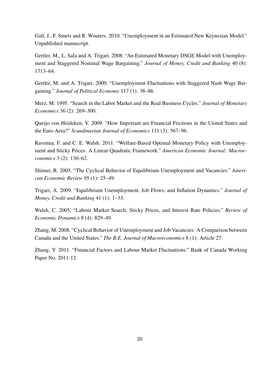Galí, J., F. Smets and R. Wouters. 2010. "Unemployment in an Estimated New Keynesian Model." Unpublished manuscript.

Gertler, M., L. Sala and A. Trigari. 2008. "An Estimated Monetary DSGE Model with Unemployment and Staggered Nominal Wage Bargaining." *Journal of Money, Credit and Banking* 40 (8): 1713–64.

Gertler, M. and A. Trigari. 2009. "Unemployment Fluctuations with Staggered Nash Wage Bargaining." *Journal of Political Economy* 117 (1): 38–86.

Merz, M. 1995. "Search in the Labor Market and the Real Business Cycles." *Journal of Monetary Economics* 36 (2): 269–300.

Queijo von Heideken, V. 2009. "How Important are Financial Frictions in the United States and the Euro Area?" *Scandinavian Journal of Economics* 111 (3): 567–96.

Ravenna, F. and C. E. Walsh. 2011. "Welfare-Based Optimal Monetary Policy with Unemployment and Sticky Prices: A Linear-Quadratic Framework." *American Economic Journal: Macroeconomics* 3 (2): 130–62.

Shimer, R. 2005. "The Cyclical Behavior of Equilibrium Unemployment and Vacancies." *American Economic Review* 95 (1): 25–49.

Trigari, A. 2009. "Equilibrium Unemployment, Job Flows, and Inflation Dynamics." *Journal of Money, Credit and Banking* 41 (1): 1–33.

Walsh, C. 2005. "Labour Market Search, Sticky Prices, and Interest Rate Policies." *Review of Economic Dynamics* 8 (4): 829–49.

Zhang, M. 2008. "Cyclical Behavior of Unemployment and Job Vacancies: A Comparison between Canada and the United States." *The B.E. Journal of Macroeconomics* 8 (1): Article 27.

Zhang, Y. 2011. "Financial Factors and Labour Market Fluctuations." Bank of Canada Working Paper No. 2011-12.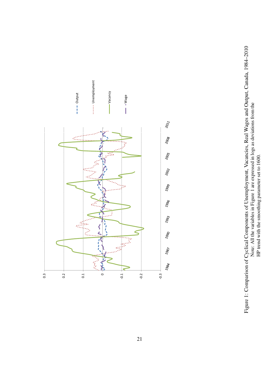

Figure 1: Comparison of Cyclical Components of Unemployment, Vacancies, Real Wages and Output, Canada, 1984-2010 Figure 1: Comparison of Cyclical Components of Unemployment, Vacancies, Real Wages and Output, Canada, 1984–2010 Note: All the variables in Figure 1 are expressed in logs as deviations from the HP trend with the smoothing parameter set to 1600. Note: All the variables in Figure 1 are expressed in logs as deviations from the HP trend with the smoothing parameter set to 1600.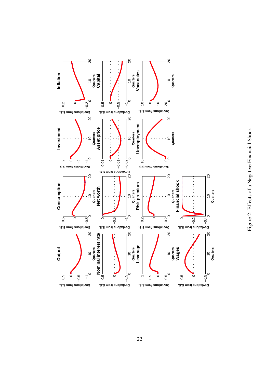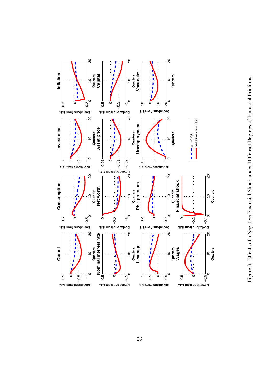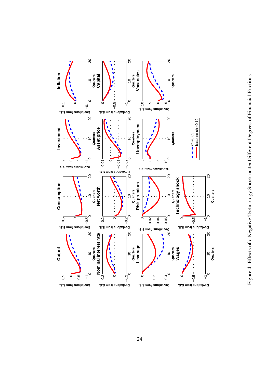

Figure 4: Effects of a Negative Technology Shock under Different Degrees of Financial Frictions Figure 4: Effects of a Negative Technology Shock under Different Degrees of Financial Frictions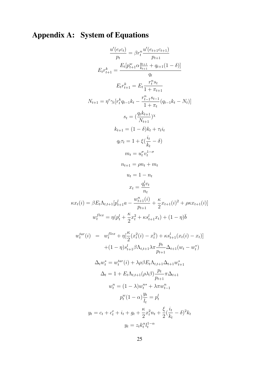# Appendix A: System of Equations

$$
\frac{u'(e_{t}c_t)}{p_t} = \beta r_t \frac{u'(e_{t+1}c_{t+1})}{p_{t+1}}
$$
  
\n
$$
E_t r_{t+1}^k = \frac{E_t[p_{t+1}^w \alpha_{k+1}^{u+1} + q_{t+1}(1-\delta)]}{q_t}
$$
  
\n
$$
E_t r_{t+1}^k = E_t \frac{r_t^v s_t}{1 + \pi_{t+1}}
$$
  
\n
$$
N_{t+1} = \eta^c \gamma_t [r_t^k q_{t-1} k_t - \frac{r_{t-1}^n s_{t-1}}{1 + \pi_t} (q_{t-1} k_t - N_t)]
$$
  
\n
$$
s_t = (\frac{q_t k_{t+1}}{N_{t+1}}) \times
$$
  
\n
$$
k_{t+1} = (1 - \delta) k_t + \tau_t i_t
$$
  
\n
$$
q_t \tau_t = 1 + \xi (\frac{i_t}{k_t} - \delta)
$$
  
\n
$$
m_t = u_t^{\sigma} v_t^{1-\sigma}
$$
  
\n
$$
n_{t+1} = \rho n_t + m_t
$$
  
\n
$$
u_t = 1 - n_t
$$
  
\n
$$
x_t = \frac{q_t^l v_t}{n_t}
$$
  
\n
$$
\kappa x_t(i) = \beta E_t \Lambda_{t,t+1} [p_{t+1}^l a - \frac{w_{t+1}^n(i)}{p_{t+1}} + \frac{\kappa}{2} x_{t+1}(i)^2 + \rho \kappa x_{t+1}(i)]
$$
  
\n
$$
w_t^{llex} = \eta (p_t^l + \frac{\kappa}{2} x_t^2 + \kappa s_{t+1}^l x_t) + (1 - \eta) \bar{b}
$$
  
\n
$$
w_t^{llex} = \eta (p_t^l + \frac{\kappa}{2} x_t^2 + \kappa s_{t+1}^l x_t) + (1 - \eta) \bar{b}
$$
  
\n
$$
\omega_t^{llex}(i) = w_t^{llex} + \eta [\frac{\kappa}{2} (x_t^2(i) - x_t^2) + \kappa s_{t+1}^l (x_t(i) - x_t)]
$$
  
\n
$$
+ (1 - \eta) s_{t+1}^l \beta \Lambda_{t,t+
$$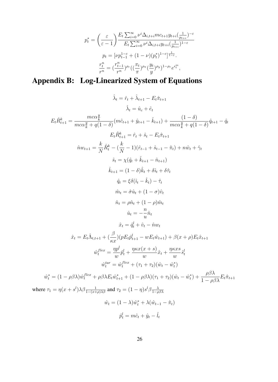$$
p_t^* = \left(\frac{\varepsilon}{\varepsilon - 1}\right) \frac{E_t \sum_{i=0}^{\infty} \nu^i \Delta_{i, t+i} mc_{t+1} y_{t+i} (\frac{1}{p_{t+i}})^{-\varepsilon}}{E_t \sum_{i=0}^{\infty} \nu^i \Delta_{i, t+i} y_{t+i} (\frac{1}{p_{t+i}})^{1-\varepsilon}}
$$
  

$$
p_t = [\nu p_{t-1}^{1-\varepsilon} + (1-\nu)(p_t^*)^{1-\varepsilon}]^{\frac{1}{1-\varepsilon}}.
$$
  

$$
\frac{r_t^n}{r^n} = \left(\frac{r_{t-1}^n}{r^n}\right)^{\rho_r} \left(\frac{\pi_t}{\pi}\right)^{\rho_{\pi}} \left(\frac{y_t}{y}\right)^{\rho_y} \left(1 - \rho_r e^{\epsilon_t^m}\right),
$$

# Appendix B: Log-Linearized System of Equations

$$
\hat{\lambda}_{t} = \hat{r}_{t} + \hat{\lambda}_{t+1} - E_{t}\hat{\pi}_{t+1}
$$
\n
$$
\hat{\lambda}_{t} = \hat{u}_{c} + \hat{e}_{t}
$$
\n
$$
E_{t}\hat{R}_{t+1}^{k} = \frac{mc\alpha_{k}^{y}}{mc\alpha_{k}^{y} + q(1-\delta)}(m\hat{c}_{t+1} + \hat{y}_{t+1} - \hat{k}_{t+1}) + \frac{(1-\delta)}{mc\alpha_{k}^{y} + q(1-\delta)}\hat{q}_{t+1} - \hat{q}_{t}
$$
\n
$$
E_{t}\hat{R}_{t+1}^{k} = \hat{r}_{t} + \hat{s}_{t} - E_{t}\hat{\pi}_{t+1}
$$
\n
$$
\hat{n}w_{t+1} = \frac{k}{N}\hat{R}_{t}^{k} - (\frac{k}{N} - 1)(\hat{r}_{t-1} + \hat{s}_{t-1} - \hat{\pi}_{t}) + n\hat{w}_{t} + \hat{\gamma}_{t}
$$
\n
$$
\hat{s}_{t} = \chi(\hat{q}_{t} + \hat{k}_{t+1} - \hat{n}_{t+1})
$$
\n
$$
\hat{k}_{t+1} = (1 - \delta)\hat{k}_{t} + \delta\hat{\tau}_{t}
$$
\n
$$
\hat{q}_{t} = \xi\delta(\hat{i}_{t} - \hat{k}_{t}) - \hat{\tau}_{t}
$$
\n
$$
\hat{m}_{t} = \hat{\sigma}\hat{u}_{t} + (1 - \sigma)\hat{v}_{t}
$$
\n
$$
\hat{n}_{t} = \rho\hat{n}_{t} + (1 - \rho)\hat{m}_{t}
$$
\n
$$
\hat{u}_{t} = -\frac{n}{u}\hat{n}_{t}
$$
\n
$$
\hat{x}_{t} = \frac{d_{t}^{t}}{u} + \hat{v}_{t} - \hat{n}w_{t}
$$
\n
$$
\hat{x}_{t} = E_{t}\hat{\Lambda}_{t,t+1} + (\frac{\beta}{\kappa x})(pE_{t}\hat{p}_{t+1}^{t} - wE_{t}\hat{w}_{t+1}) + \beta(x + \rho)E_{t}\hat{x}_{t+1}
$$
\n
$$
\hat{w}_{t}^{free} = \frac{\eta p^{t}}{w}\hat{p}_{t}^{i} + \frac{\eta\kappa x(x + s)}{w}\hat{x}_{t} + \frac{\eta\
$$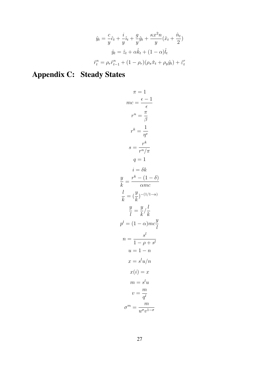$$
\hat{y}_t = \frac{c}{y}\hat{c}_t + \frac{i}{y}\hat{i}_t + \frac{g}{y}\hat{g}_t + \frac{\kappa x^2 n}{y}(\hat{x}_t + \frac{\hat{n}_t}{2})
$$

$$
\hat{y}_t = \hat{z}_t + \alpha \hat{k}_t + (1 - \alpha)\hat{l}_t
$$

$$
\hat{r}_t^n = \rho_r \hat{r}_{t-1}^n + (1 - \rho_r)(\rho_\pi \hat{n}_t + \rho_y \hat{y}_t) + \hat{\varepsilon}_t^n
$$

# Appendix C: Steady States

$$
\pi = 1
$$
  
\n
$$
mc = \frac{\epsilon - 1}{\epsilon}
$$
  
\n
$$
r^n = \frac{\pi}{\beta}
$$
  
\n
$$
r^k = \frac{1}{\eta^e}
$$
  
\n
$$
s = \frac{r^k}{r^n/\pi}
$$
  
\n
$$
q = 1
$$
  
\n
$$
i = \delta k
$$
  
\n
$$
\frac{y}{k} = \frac{r^k - (1 - \delta)}{\alpha mc}
$$
  
\n
$$
\frac{l}{k} = (\frac{y}{k})^{-(1/1-\alpha)}
$$
  
\n
$$
\frac{y}{l} = \frac{y}{k} / \frac{l}{k}
$$
  
\n
$$
p^l = (1 - \alpha)mc\frac{y}{l}
$$
  
\n
$$
n = \frac{s^l}{1 - \rho + s^l}
$$
  
\n
$$
u = 1 - n
$$
  
\n
$$
x = s^l u/n
$$
  
\n
$$
x(i) = x
$$
  
\n
$$
m = s^l u
$$
  
\n
$$
v = \frac{m}{q^l}
$$
  
\n
$$
\sigma^m = \frac{m}{u^{\sigma}v^{1-\sigma}}
$$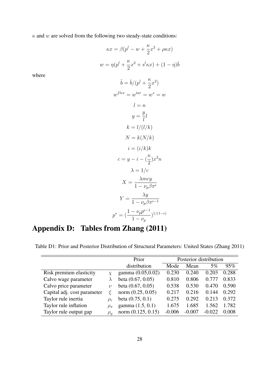$\kappa$  and w are solved from the following two steady-state conditions:

where

$$
\kappa x = \beta (p^{l} - w + \frac{\kappa}{2}x^{2} + \rho \kappa x)
$$
  
\n
$$
w = \eta (p^{l} + \frac{\kappa}{2}x^{2} + s^{l}\kappa x) + (1 - \eta)\bar{b}
$$
  
\n
$$
\tilde{b} = \bar{b}/(p^{l} + \frac{\kappa}{2}x^{2})
$$
  
\n
$$
w^{flex} = w^{tar} = w^{*} = w
$$
  
\n
$$
l = n
$$
  
\n
$$
y = \frac{y}{l}l
$$
  
\n
$$
k = l/(l/k)
$$
  
\n
$$
N = k(N/k)
$$
  
\n
$$
i = (i/k)k
$$
  
\n
$$
c = y - i - (\frac{\kappa}{2})x^{2}n
$$
  
\n
$$
\lambda = 1/c
$$
  
\n
$$
X = \frac{\lambda mcy}{1 - \nu_{p}\beta\pi^{\epsilon}}
$$
  
\n
$$
Y = \frac{\lambda y}{1 - \nu_{p}\beta\pi^{\epsilon-1}}
$$
  
\n
$$
p^{*} = (\frac{1 - \nu_{p}p^{\epsilon-1}}{1 - \nu_{p}})^{1/(1-\epsilon)}
$$

# Appendix D: Tables from Zhang (2011)

Table D1: Prior and Posterior Distribution of Structural Parameters: United States (Zhang 2011)

|                             |              | Prior                | Posterior distribution |          |          |       |  |
|-----------------------------|--------------|----------------------|------------------------|----------|----------|-------|--|
|                             |              | distribution         | Mode                   | Mean     | 5%       | 95%   |  |
| Risk premium elasticity     |              | gamma (0.05,0.02)    | 0.230                  | 0.240    | 0.203    | 0.288 |  |
| Calvo wage parameter        |              | beta $(0.67, 0.05)$  | 0.810                  | 0.806    | 0.777    | 0.833 |  |
| Calvo price parameter       | $\nu$        | beta $(0.67, 0.05)$  | 0.538                  | 0.530    | 0.470    | 0.590 |  |
| Capital adj. cost parameter |              | norm $(0.25, 0.05)$  | 0.217                  | 0.216    | 0.144    | 0.292 |  |
| Taylor rule inertia         | $\rho_r$     | beta $(0.75, 0.1)$   | 0.275                  | 0.292    | 0.213    | 0.372 |  |
| Taylor rule inflation       | $\rho_{\pi}$ | gamma $(1.5, 0.1)$   | 1.675                  | 1.685    | 1.562    | 1.782 |  |
| Taylor rule output gap      | $\rho_u$     | norm $(0.125, 0.15)$ | $-0.006$               | $-0.007$ | $-0.022$ | 0.008 |  |